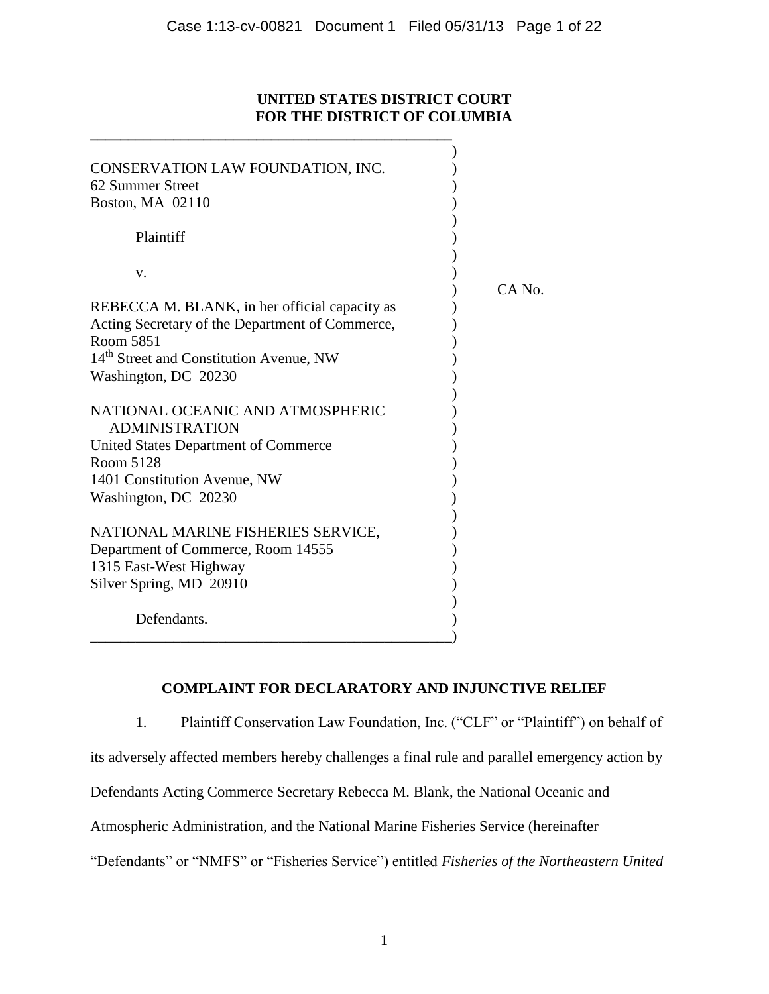## **UNITED STATES DISTRICT COURT FOR THE DISTRICT OF COLUMBIA**

| CONSERVATION LAW FOUNDATION, INC.<br>62 Summer Street<br>Boston, MA 02110 |        |
|---------------------------------------------------------------------------|--------|
| Plaintiff                                                                 |        |
| V.                                                                        | CA No. |
| REBECCA M. BLANK, in her official capacity as                             |        |
| Acting Secretary of the Department of Commerce,                           |        |
| Room 5851                                                                 |        |
| 14 <sup>th</sup> Street and Constitution Avenue, NW                       |        |
| Washington, DC 20230                                                      |        |
| NATIONAL OCEANIC AND ATMOSPHERIC<br><b>ADMINISTRATION</b>                 |        |
| United States Department of Commerce                                      |        |
| Room 5128                                                                 |        |
| 1401 Constitution Avenue, NW                                              |        |
| Washington, DC 20230                                                      |        |
| NATIONAL MARINE FISHERIES SERVICE,                                        |        |
| Department of Commerce, Room 14555                                        |        |
| 1315 East-West Highway                                                    |        |
| Silver Spring, MD 20910                                                   |        |
| Defendants.                                                               |        |

**\_\_\_\_\_\_\_\_\_\_\_\_\_\_\_\_\_\_\_\_\_\_\_\_\_\_\_\_\_\_\_\_\_\_\_\_\_\_\_\_\_\_\_\_\_\_\_\_**

# **COMPLAINT FOR DECLARATORY AND INJUNCTIVE RELIEF**

1. Plaintiff Conservation Law Foundation, Inc. ("CLF" or "Plaintiff") on behalf of

its adversely affected members hereby challenges a final rule and parallel emergency action by

Defendants Acting Commerce Secretary Rebecca M. Blank, the National Oceanic and

Atmospheric Administration, and the National Marine Fisheries Service (hereinafter

"Defendants" or "NMFS" or "Fisheries Service") entitled *Fisheries of the Northeastern United*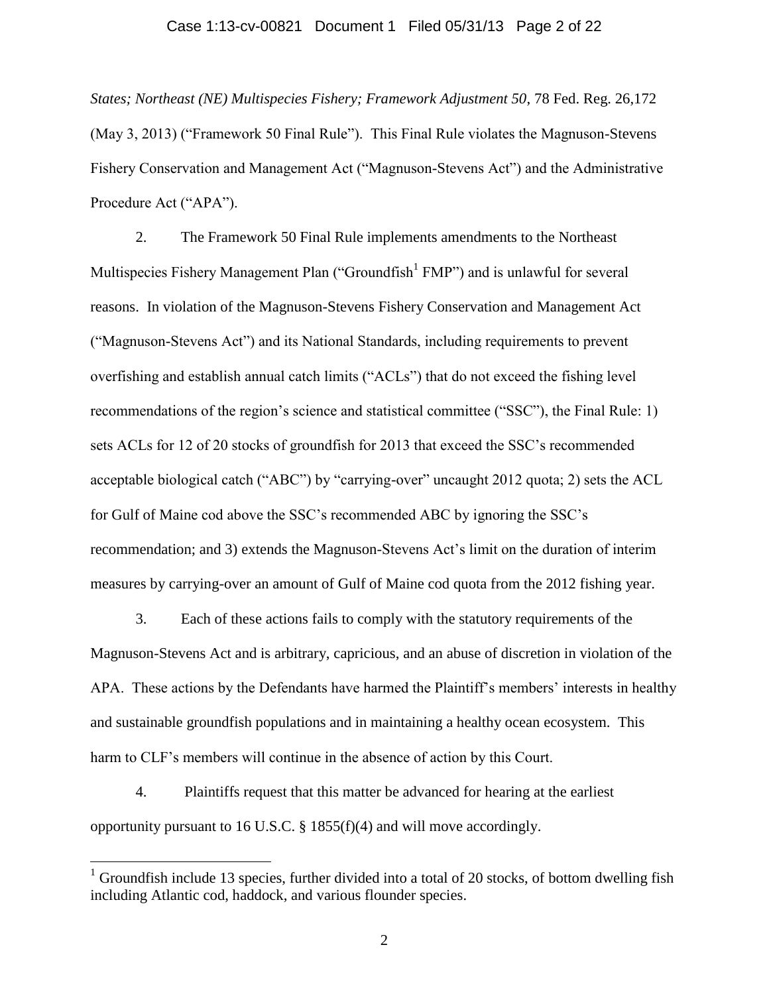#### Case 1:13-cv-00821 Document 1 Filed 05/31/13 Page 2 of 22

*States; Northeast (NE) Multispecies Fishery; Framework Adjustment 50*, 78 Fed. Reg. 26,172 (May 3, 2013) ("Framework 50 Final Rule"). This Final Rule violates the Magnuson-Stevens Fishery Conservation and Management Act ("Magnuson-Stevens Act") and the Administrative Procedure Act ("APA").

2. The Framework 50 Final Rule implements amendments to the Northeast Multispecies Fishery Management Plan ("Groundfish<sup>1</sup> FMP") and is unlawful for several reasons. In violation of the Magnuson-Stevens Fishery Conservation and Management Act ("Magnuson-Stevens Act") and its National Standards, including requirements to prevent overfishing and establish annual catch limits ("ACLs") that do not exceed the fishing level recommendations of the region's science and statistical committee ("SSC"), the Final Rule: 1) sets ACLs for 12 of 20 stocks of groundfish for 2013 that exceed the SSC's recommended acceptable biological catch ("ABC") by "carrying-over" uncaught 2012 quota; 2) sets the ACL for Gulf of Maine cod above the SSC's recommended ABC by ignoring the SSC's recommendation; and 3) extends the Magnuson-Stevens Act's limit on the duration of interim measures by carrying-over an amount of Gulf of Maine cod quota from the 2012 fishing year.

3. Each of these actions fails to comply with the statutory requirements of the Magnuson-Stevens Act and is arbitrary, capricious, and an abuse of discretion in violation of the APA. These actions by the Defendants have harmed the Plaintiff's members' interests in healthy and sustainable groundfish populations and in maintaining a healthy ocean ecosystem. This harm to CLF's members will continue in the absence of action by this Court.

4. Plaintiffs request that this matter be advanced for hearing at the earliest opportunity pursuant to 16 U.S.C. § 1855(f)(4) and will move accordingly.

 $\overline{a}$ 

<sup>&</sup>lt;sup>1</sup> Groundfish include 13 species, further divided into a total of 20 stocks, of bottom dwelling fish including Atlantic cod, haddock, and various flounder species.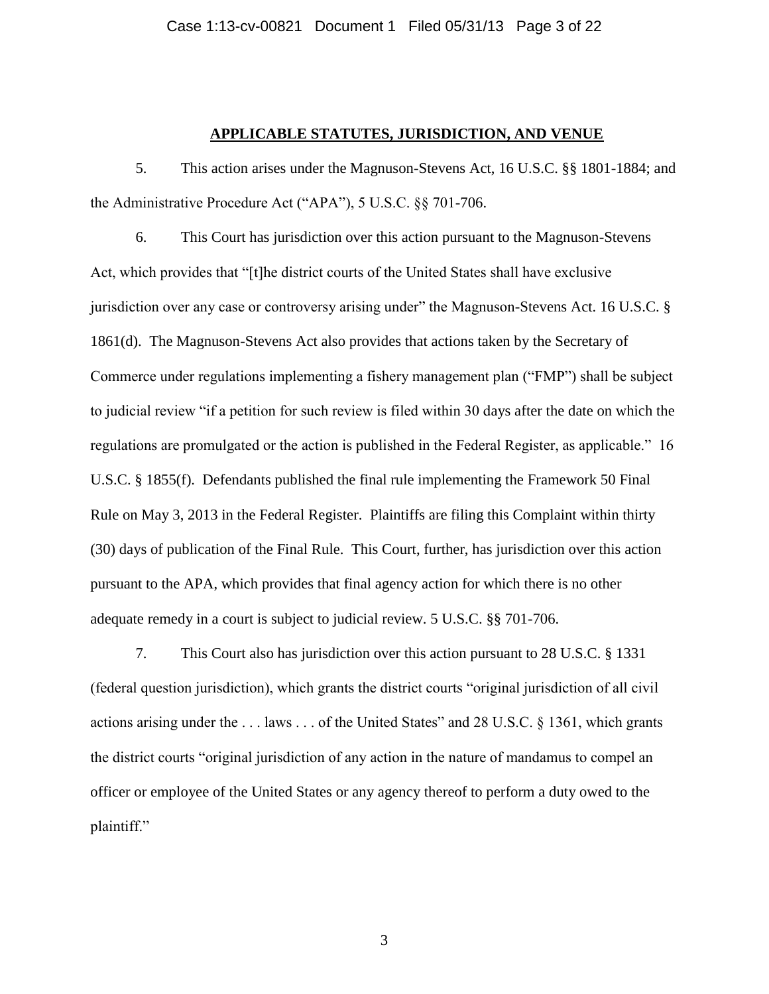### **APPLICABLE STATUTES, JURISDICTION, AND VENUE**

5. This action arises under the Magnuson-Stevens Act, 16 U.S.C. §§ 1801-1884; and the Administrative Procedure Act ("APA"), 5 U.S.C. §§ 701-706.

6. This Court has jurisdiction over this action pursuant to the Magnuson-Stevens Act, which provides that "[t]he district courts of the United States shall have exclusive jurisdiction over any case or controversy arising under" the Magnuson-Stevens Act. 16 U.S.C. § 1861(d). The Magnuson-Stevens Act also provides that actions taken by the Secretary of Commerce under regulations implementing a fishery management plan ("FMP") shall be subject to judicial review "if a petition for such review is filed within 30 days after the date on which the regulations are promulgated or the action is published in the Federal Register, as applicable." 16 U.S.C. § 1855(f). Defendants published the final rule implementing the Framework 50 Final Rule on May 3, 2013 in the Federal Register. Plaintiffs are filing this Complaint within thirty (30) days of publication of the Final Rule. This Court, further, has jurisdiction over this action pursuant to the APA, which provides that final agency action for which there is no other adequate remedy in a court is subject to judicial review. 5 U.S.C. §§ 701-706.

7. This Court also has jurisdiction over this action pursuant to 28 U.S.C. § 1331 (federal question jurisdiction), which grants the district courts "original jurisdiction of all civil actions arising under the . . . laws . . . of the United States" and 28 U.S.C. § 1361, which grants the district courts "original jurisdiction of any action in the nature of mandamus to compel an officer or employee of the United States or any agency thereof to perform a duty owed to the plaintiff."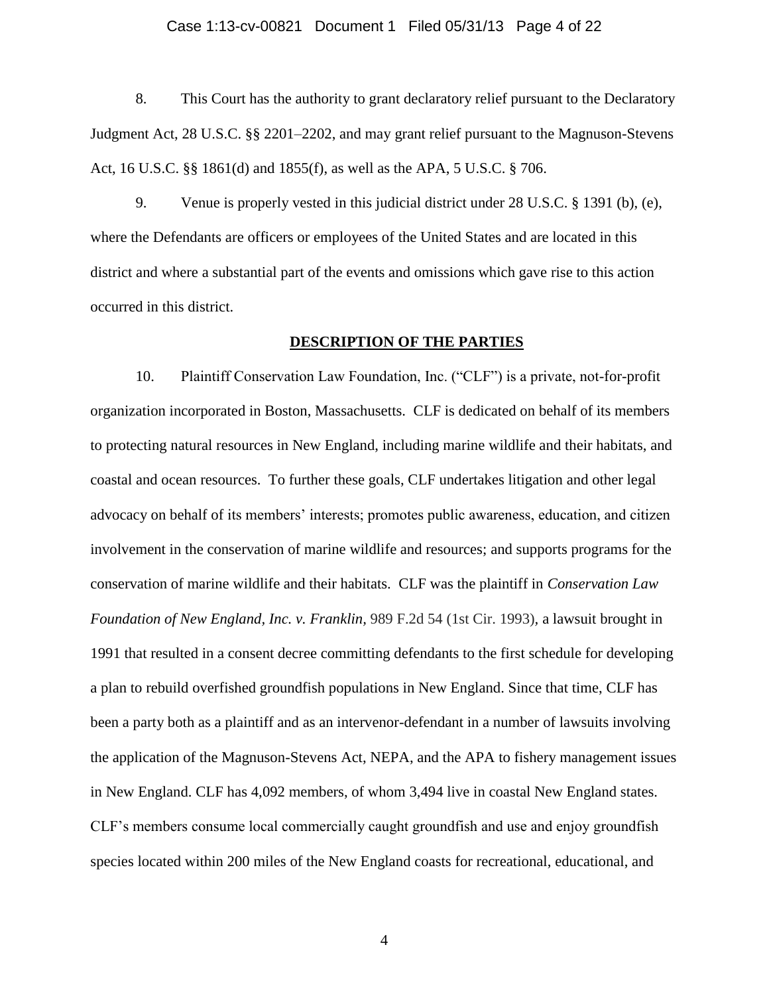#### Case 1:13-cv-00821 Document 1 Filed 05/31/13 Page 4 of 22

8. This Court has the authority to grant declaratory relief pursuant to the Declaratory Judgment Act, 28 U.S.C. §§ 2201–2202, and may grant relief pursuant to the Magnuson-Stevens Act, 16 U.S.C. §§ 1861(d) and 1855(f), as well as the APA, 5 U.S.C. § 706.

9. Venue is properly vested in this judicial district under 28 U.S.C. § 1391 (b), (e), where the Defendants are officers or employees of the United States and are located in this district and where a substantial part of the events and omissions which gave rise to this action occurred in this district.

#### **DESCRIPTION OF THE PARTIES**

10. Plaintiff Conservation Law Foundation, Inc. ("CLF") is a private, not-for-profit organization incorporated in Boston, Massachusetts. CLF is dedicated on behalf of its members to protecting natural resources in New England, including marine wildlife and their habitats, and coastal and ocean resources. To further these goals, CLF undertakes litigation and other legal advocacy on behalf of its members' interests; promotes public awareness, education, and citizen involvement in the conservation of marine wildlife and resources; and supports programs for the conservation of marine wildlife and their habitats. CLF was the plaintiff in *Conservation Law Foundation of New England, Inc. v. Franklin,* 989 F.2d 54 (1st Cir. 1993)*,* a lawsuit brought in 1991 that resulted in a consent decree committing defendants to the first schedule for developing a plan to rebuild overfished groundfish populations in New England. Since that time, CLF has been a party both as a plaintiff and as an intervenor-defendant in a number of lawsuits involving the application of the Magnuson-Stevens Act, NEPA, and the APA to fishery management issues in New England. CLF has 4,092 members, of whom 3,494 live in coastal New England states. CLF's members consume local commercially caught groundfish and use and enjoy groundfish species located within 200 miles of the New England coasts for recreational, educational, and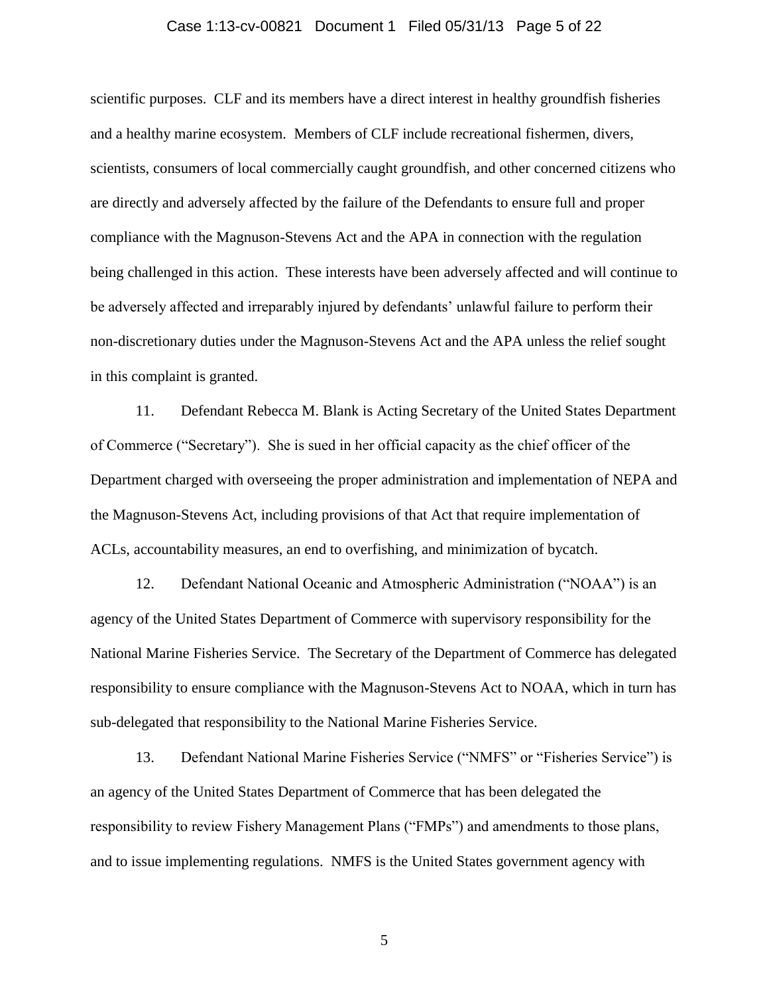#### Case 1:13-cv-00821 Document 1 Filed 05/31/13 Page 5 of 22

scientific purposes. CLF and its members have a direct interest in healthy groundfish fisheries and a healthy marine ecosystem. Members of CLF include recreational fishermen, divers, scientists, consumers of local commercially caught groundfish, and other concerned citizens who are directly and adversely affected by the failure of the Defendants to ensure full and proper compliance with the Magnuson-Stevens Act and the APA in connection with the regulation being challenged in this action. These interests have been adversely affected and will continue to be adversely affected and irreparably injured by defendants' unlawful failure to perform their non-discretionary duties under the Magnuson-Stevens Act and the APA unless the relief sought in this complaint is granted.

11. Defendant Rebecca M. Blank is Acting Secretary of the United States Department of Commerce ("Secretary"). She is sued in her official capacity as the chief officer of the Department charged with overseeing the proper administration and implementation of NEPA and the Magnuson-Stevens Act, including provisions of that Act that require implementation of ACLs, accountability measures, an end to overfishing, and minimization of bycatch.

12. Defendant National Oceanic and Atmospheric Administration ("NOAA") is an agency of the United States Department of Commerce with supervisory responsibility for the National Marine Fisheries Service. The Secretary of the Department of Commerce has delegated responsibility to ensure compliance with the Magnuson-Stevens Act to NOAA, which in turn has sub-delegated that responsibility to the National Marine Fisheries Service.

13. Defendant National Marine Fisheries Service ("NMFS" or "Fisheries Service") is an agency of the United States Department of Commerce that has been delegated the responsibility to review Fishery Management Plans ("FMPs") and amendments to those plans, and to issue implementing regulations. NMFS is the United States government agency with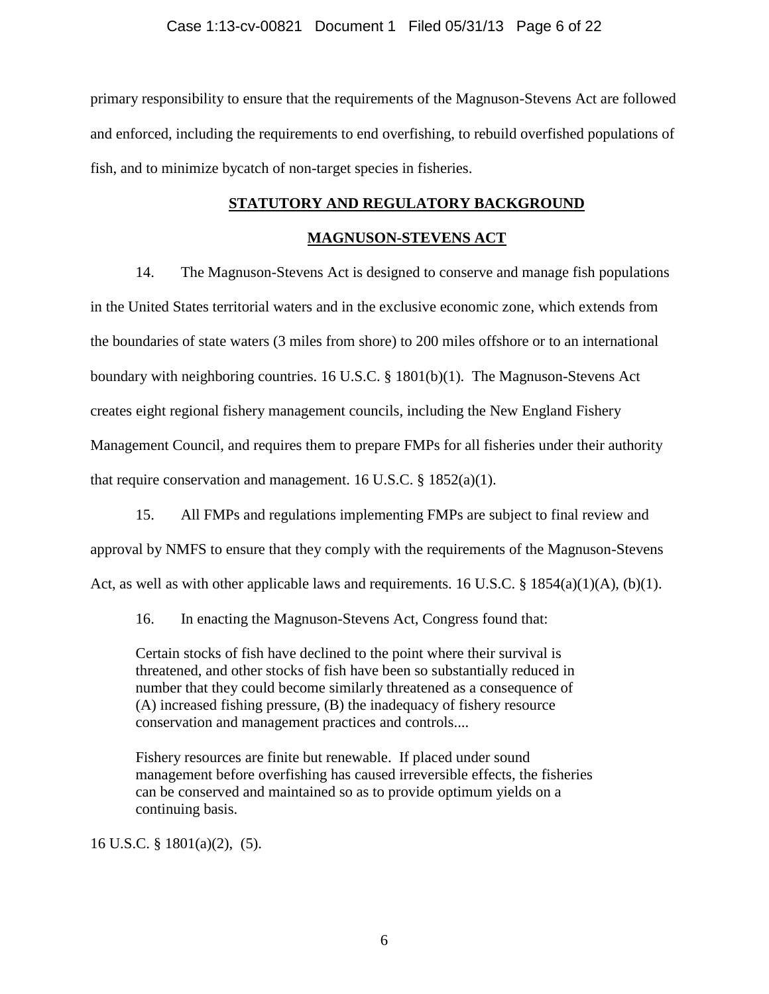primary responsibility to ensure that the requirements of the Magnuson-Stevens Act are followed and enforced, including the requirements to end overfishing, to rebuild overfished populations of fish, and to minimize bycatch of non-target species in fisheries.

# **STATUTORY AND REGULATORY BACKGROUND**

## **MAGNUSON-STEVENS ACT**

14. The Magnuson-Stevens Act is designed to conserve and manage fish populations in the United States territorial waters and in the exclusive economic zone, which extends from the boundaries of state waters (3 miles from shore) to 200 miles offshore or to an international boundary with neighboring countries. 16 U.S.C. § 1801(b)(1). The Magnuson-Stevens Act creates eight regional fishery management councils, including the New England Fishery Management Council, and requires them to prepare FMPs for all fisheries under their authority that require conservation and management. 16 U.S.C.  $\S$  1852(a)(1).

15. All FMPs and regulations implementing FMPs are subject to final review and approval by NMFS to ensure that they comply with the requirements of the Magnuson-Stevens Act, as well as with other applicable laws and requirements. 16 U.S.C. § 1854(a)(1)(A), (b)(1).

16. In enacting the Magnuson-Stevens Act, Congress found that:

Certain stocks of fish have declined to the point where their survival is threatened, and other stocks of fish have been so substantially reduced in number that they could become similarly threatened as a consequence of (A) increased fishing pressure, (B) the inadequacy of fishery resource conservation and management practices and controls....

Fishery resources are finite but renewable. If placed under sound management before overfishing has caused irreversible effects, the fisheries can be conserved and maintained so as to provide optimum yields on a continuing basis.

16 U.S.C. § 1801(a)(2), (5).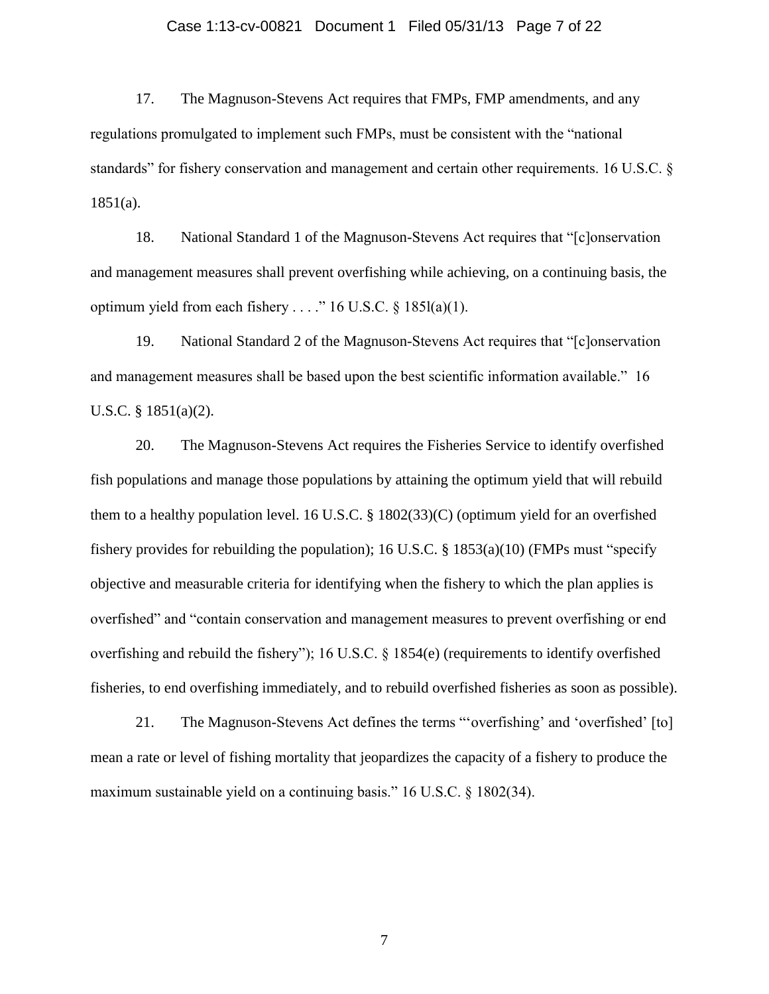#### Case 1:13-cv-00821 Document 1 Filed 05/31/13 Page 7 of 22

17. The Magnuson-Stevens Act requires that FMPs, FMP amendments, and any regulations promulgated to implement such FMPs, must be consistent with the "national standards" for fishery conservation and management and certain other requirements. 16 U.S.C. §  $1851(a)$ .

18. National Standard 1 of the Magnuson-Stevens Act requires that "[c]onservation and management measures shall prevent overfishing while achieving, on a continuing basis, the optimum yield from each fishery . . . ." 16 U.S.C.  $\S$  185l(a)(1).

19. National Standard 2 of the Magnuson-Stevens Act requires that "[c]onservation and management measures shall be based upon the best scientific information available." 16 U.S.C. § 1851(a)(2).

20. The Magnuson-Stevens Act requires the Fisheries Service to identify overfished fish populations and manage those populations by attaining the optimum yield that will rebuild them to a healthy population level. 16 U.S.C. § 1802(33)(C) (optimum yield for an overfished fishery provides for rebuilding the population); 16 U.S.C.  $\S$  1853(a)(10) (FMPs must "specify objective and measurable criteria for identifying when the fishery to which the plan applies is overfished" and "contain conservation and management measures to prevent overfishing or end overfishing and rebuild the fishery"); 16 U.S.C. § 1854(e) (requirements to identify overfished fisheries, to end overfishing immediately, and to rebuild overfished fisheries as soon as possible).

21. The Magnuson-Stevens Act defines the terms "'overfishing' and 'overfished' [to] mean a rate or level of fishing mortality that jeopardizes the capacity of a fishery to produce the maximum sustainable yield on a continuing basis." 16 U.S.C. § 1802(34).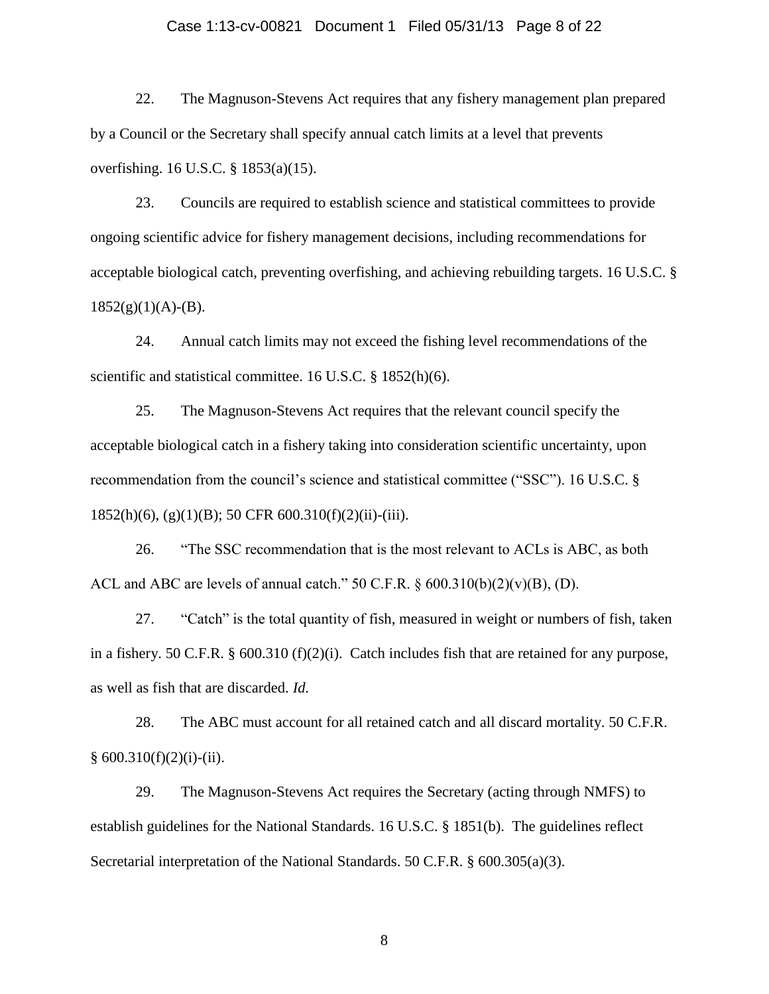### Case 1:13-cv-00821 Document 1 Filed 05/31/13 Page 8 of 22

22. The Magnuson-Stevens Act requires that any fishery management plan prepared by a Council or the Secretary shall specify annual catch limits at a level that prevents overfishing. 16 U.S.C. § 1853(a)(15).

23. Councils are required to establish science and statistical committees to provide ongoing scientific advice for fishery management decisions, including recommendations for acceptable biological catch, preventing overfishing, and achieving rebuilding targets. 16 U.S.C. §  $1852(g)(1)(A)-(B)$ .

24. Annual catch limits may not exceed the fishing level recommendations of the scientific and statistical committee. 16 U.S.C. § 1852(h)(6).

25. The Magnuson-Stevens Act requires that the relevant council specify the acceptable biological catch in a fishery taking into consideration scientific uncertainty, upon recommendation from the council's science and statistical committee ("SSC"). 16 U.S.C. § 1852(h)(6), (g)(1)(B); 50 CFR 600.310(f)(2)(ii)-(iii).

26. "The SSC recommendation that is the most relevant to ACLs is ABC, as both ACL and ABC are levels of annual catch."  $50 \text{ C.F.R. } §600.310(b)(2)(v)(B), (D)$ .

27. "Catch" is the total quantity of fish, measured in weight or numbers of fish, taken in a fishery. 50 C.F.R. § 600.310 (f)(2)(i). Catch includes fish that are retained for any purpose, as well as fish that are discarded. *Id.*

28. The ABC must account for all retained catch and all discard mortality. 50 C.F.R.  $§ 600.310(f)(2)(i)-(ii).$ 

29. The Magnuson-Stevens Act requires the Secretary (acting through NMFS) to establish guidelines for the National Standards. 16 U.S.C. § 1851(b). The guidelines reflect Secretarial interpretation of the National Standards. 50 C.F.R. § 600.305(a)(3).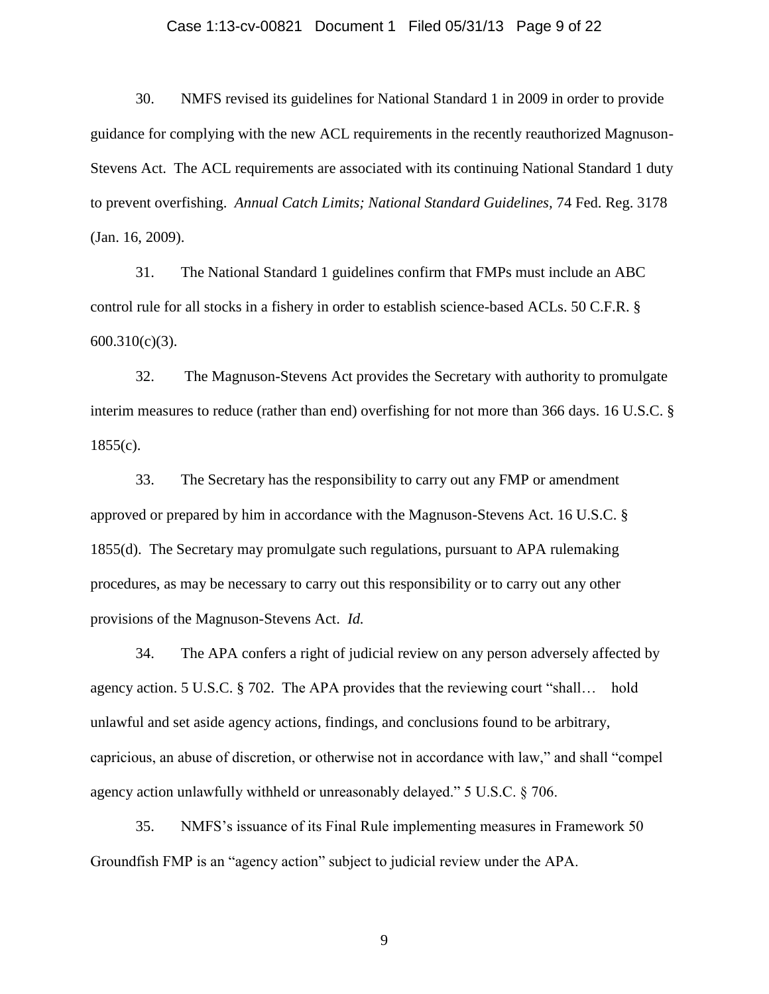#### Case 1:13-cv-00821 Document 1 Filed 05/31/13 Page 9 of 22

30. NMFS revised its guidelines for National Standard 1 in 2009 in order to provide guidance for complying with the new ACL requirements in the recently reauthorized Magnuson-Stevens Act. The ACL requirements are associated with its continuing National Standard 1 duty to prevent overfishing. *Annual Catch Limits; National Standard Guidelines,* 74 Fed. Reg. 3178 (Jan. 16, 2009).

31. The National Standard 1 guidelines confirm that FMPs must include an ABC control rule for all stocks in a fishery in order to establish science-based ACLs. 50 C.F.R. § 600.310(c)(3).

32. The Magnuson-Stevens Act provides the Secretary with authority to promulgate interim measures to reduce (rather than end) overfishing for not more than 366 days. 16 U.S.C. §  $1855(c)$ .

33. The Secretary has the responsibility to carry out any FMP or amendment approved or prepared by him in accordance with the Magnuson-Stevens Act. 16 U.S.C. § 1855(d). The Secretary may promulgate such regulations, pursuant to APA rulemaking procedures, as may be necessary to carry out this responsibility or to carry out any other provisions of the Magnuson-Stevens Act. *Id.* 

34. The APA confers a right of judicial review on any person adversely affected by agency action. 5 U.S.C. § 702. The APA provides that the reviewing court "shall… hold unlawful and set aside agency actions, findings, and conclusions found to be arbitrary, capricious, an abuse of discretion, or otherwise not in accordance with law," and shall "compel agency action unlawfully withheld or unreasonably delayed." 5 U.S.C. § 706.

35. NMFS's issuance of its Final Rule implementing measures in Framework 50 Groundfish FMP is an "agency action" subject to judicial review under the APA.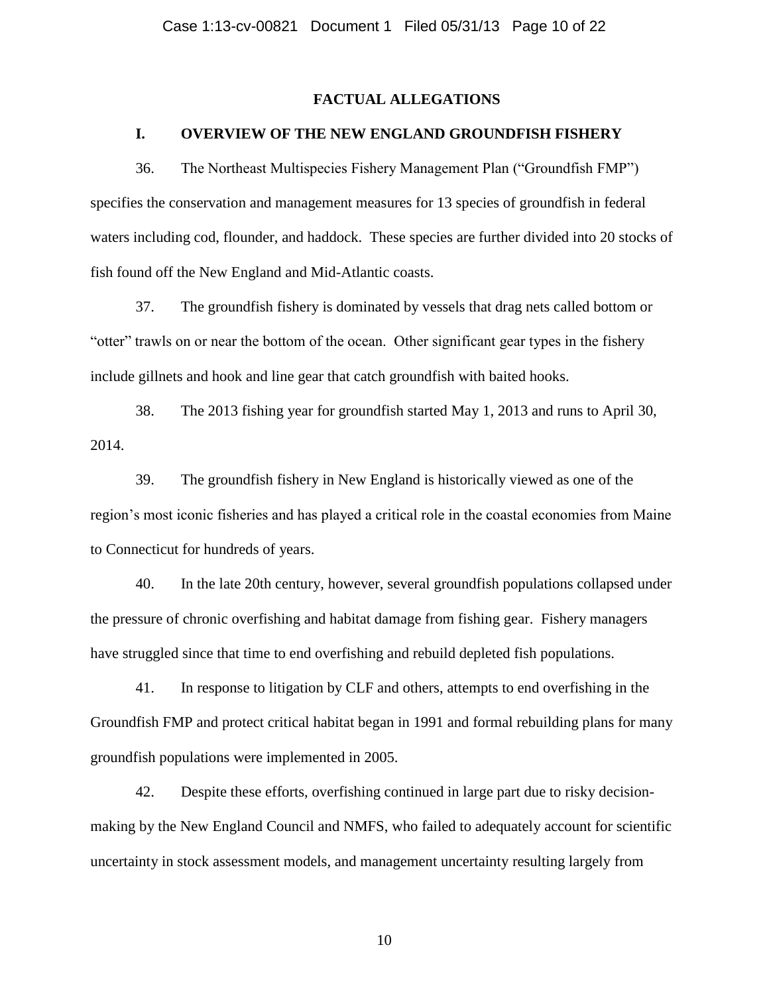### **FACTUAL ALLEGATIONS**

### **I. OVERVIEW OF THE NEW ENGLAND GROUNDFISH FISHERY**

36. The Northeast Multispecies Fishery Management Plan ("Groundfish FMP") specifies the conservation and management measures for 13 species of groundfish in federal waters including cod, flounder, and haddock. These species are further divided into 20 stocks of fish found off the New England and Mid-Atlantic coasts.

37. The groundfish fishery is dominated by vessels that drag nets called bottom or "otter" trawls on or near the bottom of the ocean. Other significant gear types in the fishery include gillnets and hook and line gear that catch groundfish with baited hooks.

38. The 2013 fishing year for groundfish started May 1, 2013 and runs to April 30, 2014.

39. The groundfish fishery in New England is historically viewed as one of the region's most iconic fisheries and has played a critical role in the coastal economies from Maine to Connecticut for hundreds of years.

40. In the late 20th century, however, several groundfish populations collapsed under the pressure of chronic overfishing and habitat damage from fishing gear. Fishery managers have struggled since that time to end overfishing and rebuild depleted fish populations.

41. In response to litigation by CLF and others, attempts to end overfishing in the Groundfish FMP and protect critical habitat began in 1991 and formal rebuilding plans for many groundfish populations were implemented in 2005.

42. Despite these efforts, overfishing continued in large part due to risky decisionmaking by the New England Council and NMFS, who failed to adequately account for scientific uncertainty in stock assessment models, and management uncertainty resulting largely from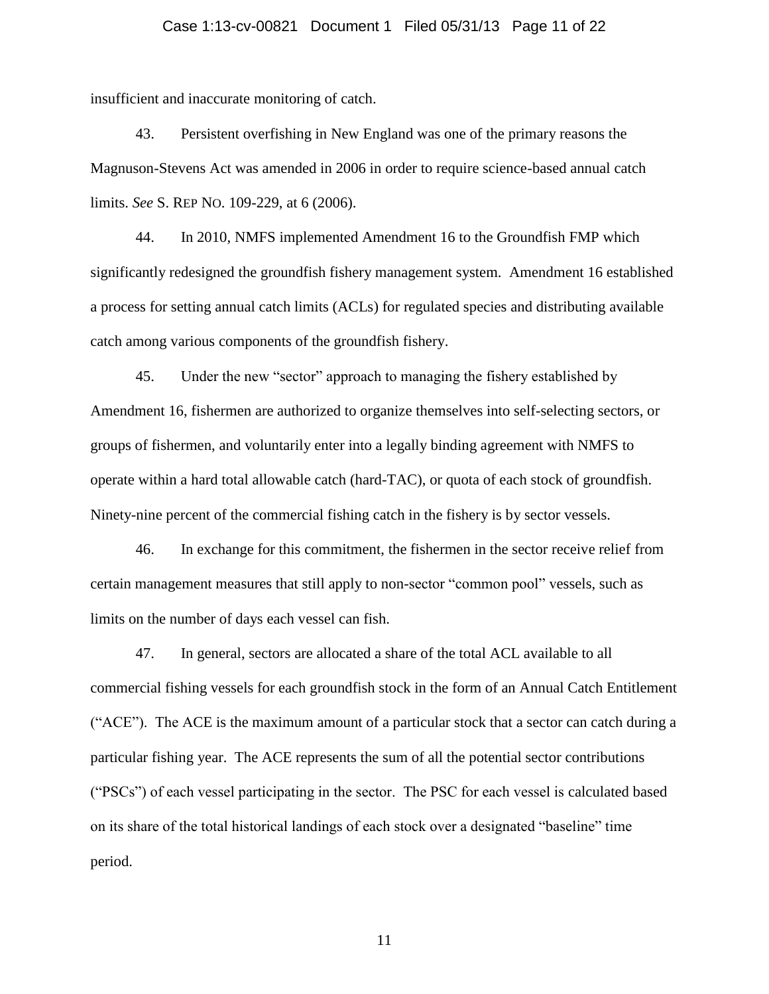#### Case 1:13-cv-00821 Document 1 Filed 05/31/13 Page 11 of 22

insufficient and inaccurate monitoring of catch.

43. Persistent overfishing in New England was one of the primary reasons the Magnuson-Stevens Act was amended in 2006 in order to require science-based annual catch limits. *See* S. REP NO. 109-229, at 6 (2006).

44. In 2010, NMFS implemented Amendment 16 to the Groundfish FMP which significantly redesigned the groundfish fishery management system. Amendment 16 established a process for setting annual catch limits (ACLs) for regulated species and distributing available catch among various components of the groundfish fishery.

45. Under the new "sector" approach to managing the fishery established by Amendment 16, fishermen are authorized to organize themselves into self-selecting sectors, or groups of fishermen, and voluntarily enter into a legally binding agreement with NMFS to operate within a hard total allowable catch (hard-TAC), or quota of each stock of groundfish. Ninety-nine percent of the commercial fishing catch in the fishery is by sector vessels.

46. In exchange for this commitment, the fishermen in the sector receive relief from certain management measures that still apply to non-sector "common pool" vessels, such as limits on the number of days each vessel can fish.

47. In general, sectors are allocated a share of the total ACL available to all commercial fishing vessels for each groundfish stock in the form of an Annual Catch Entitlement ("ACE"). The ACE is the maximum amount of a particular stock that a sector can catch during a particular fishing year. The ACE represents the sum of all the potential sector contributions ("PSCs") of each vessel participating in the sector. The PSC for each vessel is calculated based on its share of the total historical landings of each stock over a designated "baseline" time period.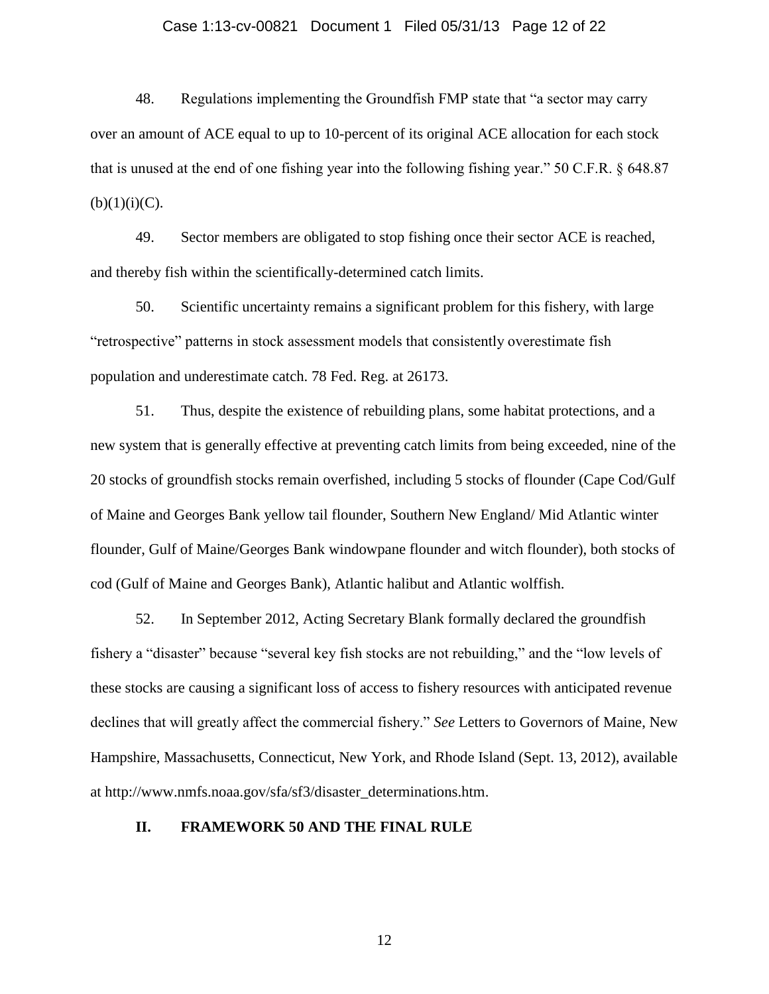#### Case 1:13-cv-00821 Document 1 Filed 05/31/13 Page 12 of 22

48. Regulations implementing the Groundfish FMP state that "a sector may carry over an amount of ACE equal to up to 10-percent of its original ACE allocation for each stock that is unused at the end of one fishing year into the following fishing year." 50 C.F.R. § 648.87  $(b)(1)(i)(C)$ .

49. Sector members are obligated to stop fishing once their sector ACE is reached, and thereby fish within the scientifically-determined catch limits.

50. Scientific uncertainty remains a significant problem for this fishery, with large "retrospective" patterns in stock assessment models that consistently overestimate fish population and underestimate catch. 78 Fed. Reg. at 26173.

51. Thus, despite the existence of rebuilding plans, some habitat protections, and a new system that is generally effective at preventing catch limits from being exceeded, nine of the 20 stocks of groundfish stocks remain overfished, including 5 stocks of flounder (Cape Cod/Gulf of Maine and Georges Bank yellow tail flounder, Southern New England/ Mid Atlantic winter flounder, Gulf of Maine/Georges Bank windowpane flounder and witch flounder), both stocks of cod (Gulf of Maine and Georges Bank), Atlantic halibut and Atlantic wolffish.

52. In September 2012, Acting Secretary Blank formally declared the groundfish fishery a "disaster" because "several key fish stocks are not rebuilding," and the "low levels of these stocks are causing a significant loss of access to fishery resources with anticipated revenue declines that will greatly affect the commercial fishery." *See* Letters to Governors of Maine, New Hampshire, Massachusetts, Connecticut, New York, and Rhode Island (Sept. 13, 2012), available at http://www.nmfs.noaa.gov/sfa/sf3/disaster\_determinations.htm.

### **II. FRAMEWORK 50 AND THE FINAL RULE**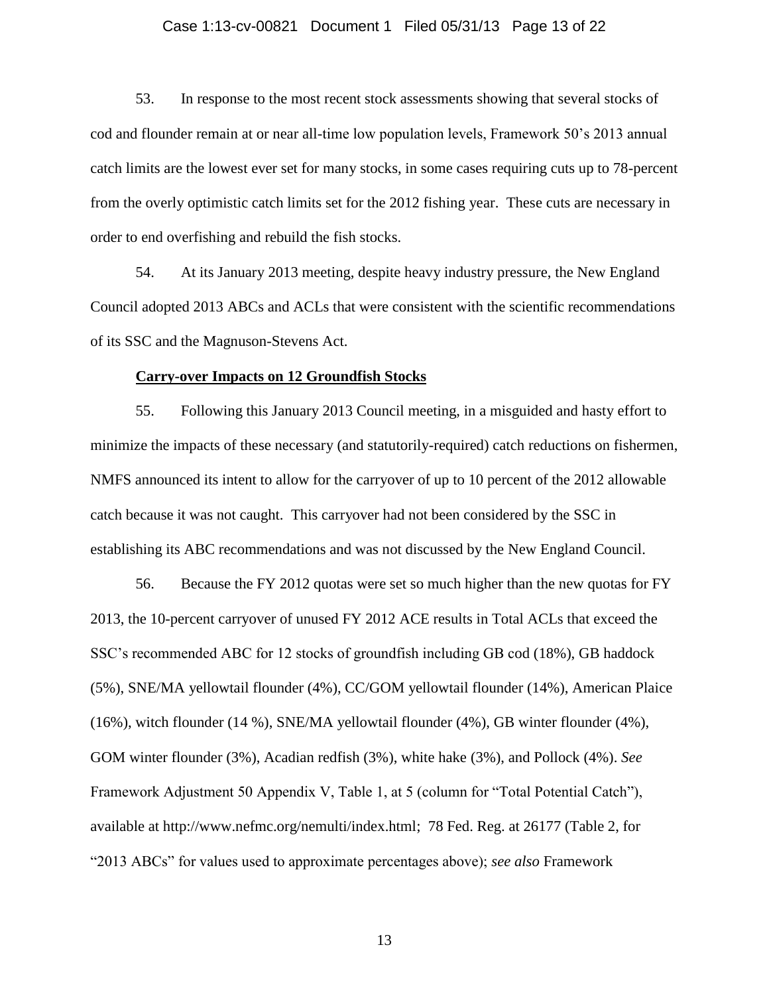#### Case 1:13-cv-00821 Document 1 Filed 05/31/13 Page 13 of 22

53. In response to the most recent stock assessments showing that several stocks of cod and flounder remain at or near all-time low population levels, Framework 50's 2013 annual catch limits are the lowest ever set for many stocks, in some cases requiring cuts up to 78-percent from the overly optimistic catch limits set for the 2012 fishing year. These cuts are necessary in order to end overfishing and rebuild the fish stocks.

54. At its January 2013 meeting, despite heavy industry pressure, the New England Council adopted 2013 ABCs and ACLs that were consistent with the scientific recommendations of its SSC and the Magnuson-Stevens Act.

#### **Carry-over Impacts on 12 Groundfish Stocks**

55. Following this January 2013 Council meeting, in a misguided and hasty effort to minimize the impacts of these necessary (and statutorily-required) catch reductions on fishermen, NMFS announced its intent to allow for the carryover of up to 10 percent of the 2012 allowable catch because it was not caught. This carryover had not been considered by the SSC in establishing its ABC recommendations and was not discussed by the New England Council.

56. Because the FY 2012 quotas were set so much higher than the new quotas for FY 2013, the 10-percent carryover of unused FY 2012 ACE results in Total ACLs that exceed the SSC's recommended ABC for 12 stocks of groundfish including GB cod (18%), GB haddock (5%), SNE/MA yellowtail flounder (4%), CC/GOM yellowtail flounder (14%), American Plaice (16%), witch flounder (14 %), SNE/MA yellowtail flounder (4%), GB winter flounder (4%), GOM winter flounder (3%), Acadian redfish (3%), white hake (3%), and Pollock (4%). *See* Framework Adjustment 50 Appendix V, Table 1, at 5 (column for "Total Potential Catch"), available at http://www.nefmc.org/nemulti/index.html; 78 Fed. Reg. at 26177 (Table 2, for "2013 ABCs" for values used to approximate percentages above); *see also* Framework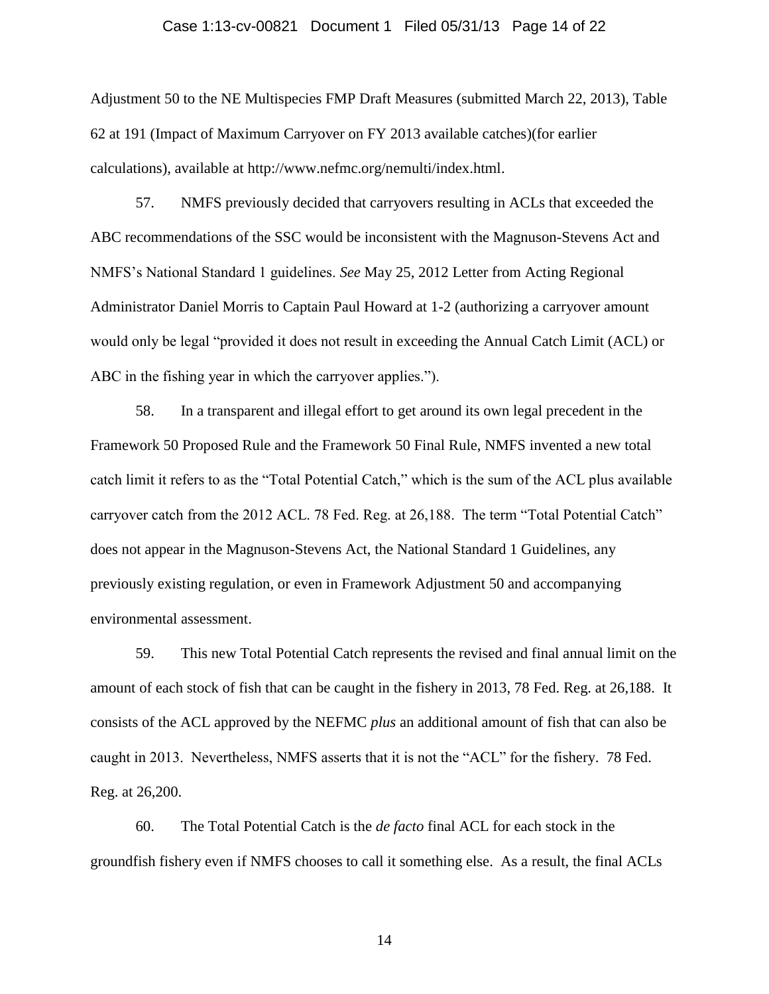#### Case 1:13-cv-00821 Document 1 Filed 05/31/13 Page 14 of 22

Adjustment 50 to the NE Multispecies FMP Draft Measures (submitted March 22, 2013), Table 62 at 191 (Impact of Maximum Carryover on FY 2013 available catches)(for earlier calculations), available at http://www.nefmc.org/nemulti/index.html.

57. NMFS previously decided that carryovers resulting in ACLs that exceeded the ABC recommendations of the SSC would be inconsistent with the Magnuson-Stevens Act and NMFS's National Standard 1 guidelines. *See* May 25, 2012 Letter from Acting Regional Administrator Daniel Morris to Captain Paul Howard at 1-2 (authorizing a carryover amount would only be legal "provided it does not result in exceeding the Annual Catch Limit (ACL) or ABC in the fishing year in which the carryover applies.").

58. In a transparent and illegal effort to get around its own legal precedent in the Framework 50 Proposed Rule and the Framework 50 Final Rule, NMFS invented a new total catch limit it refers to as the "Total Potential Catch," which is the sum of the ACL plus available carryover catch from the 2012 ACL. 78 Fed. Reg. at 26,188. The term "Total Potential Catch" does not appear in the Magnuson-Stevens Act, the National Standard 1 Guidelines, any previously existing regulation, or even in Framework Adjustment 50 and accompanying environmental assessment.

59. This new Total Potential Catch represents the revised and final annual limit on the amount of each stock of fish that can be caught in the fishery in 2013, 78 Fed. Reg. at 26,188. It consists of the ACL approved by the NEFMC *plus* an additional amount of fish that can also be caught in 2013. Nevertheless, NMFS asserts that it is not the "ACL" for the fishery. 78 Fed. Reg. at 26,200.

60. The Total Potential Catch is the *de facto* final ACL for each stock in the groundfish fishery even if NMFS chooses to call it something else. As a result, the final ACLs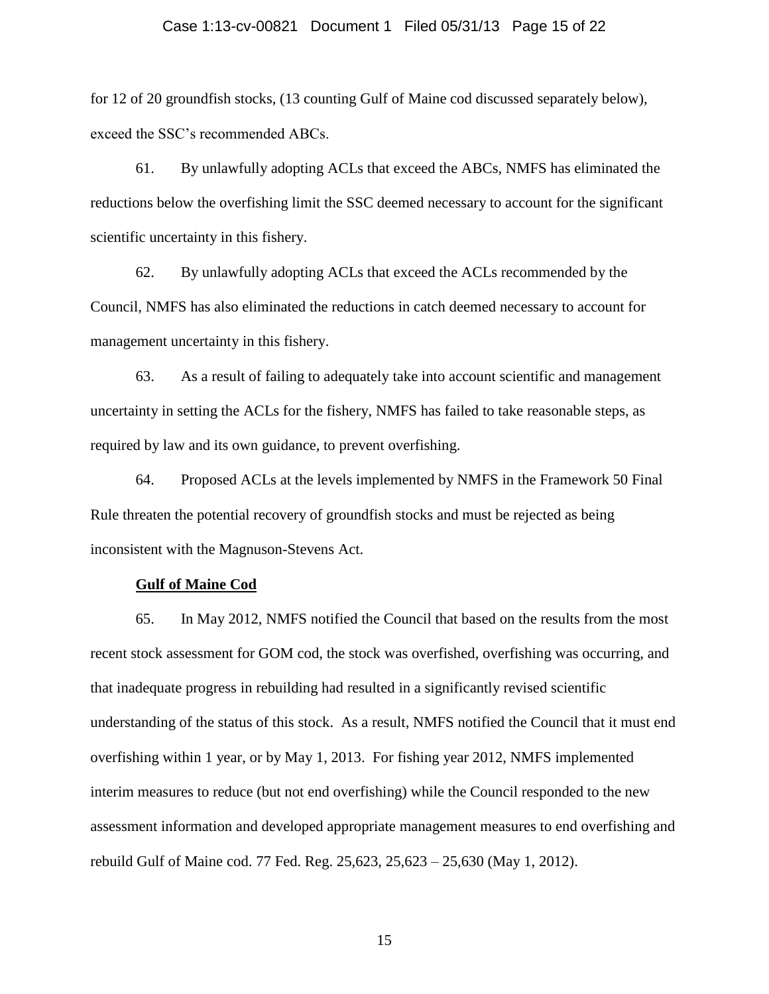#### Case 1:13-cv-00821 Document 1 Filed 05/31/13 Page 15 of 22

for 12 of 20 groundfish stocks, (13 counting Gulf of Maine cod discussed separately below), exceed the SSC's recommended ABCs.

61. By unlawfully adopting ACLs that exceed the ABCs, NMFS has eliminated the reductions below the overfishing limit the SSC deemed necessary to account for the significant scientific uncertainty in this fishery.

62. By unlawfully adopting ACLs that exceed the ACLs recommended by the Council, NMFS has also eliminated the reductions in catch deemed necessary to account for management uncertainty in this fishery.

63. As a result of failing to adequately take into account scientific and management uncertainty in setting the ACLs for the fishery, NMFS has failed to take reasonable steps, as required by law and its own guidance, to prevent overfishing.

64. Proposed ACLs at the levels implemented by NMFS in the Framework 50 Final Rule threaten the potential recovery of groundfish stocks and must be rejected as being inconsistent with the Magnuson-Stevens Act.

#### **Gulf of Maine Cod**

65. In May 2012, NMFS notified the Council that based on the results from the most recent stock assessment for GOM cod, the stock was overfished, overfishing was occurring, and that inadequate progress in rebuilding had resulted in a significantly revised scientific understanding of the status of this stock. As a result, NMFS notified the Council that it must end overfishing within 1 year, or by May 1, 2013. For fishing year 2012, NMFS implemented interim measures to reduce (but not end overfishing) while the Council responded to the new assessment information and developed appropriate management measures to end overfishing and rebuild Gulf of Maine cod. 77 Fed. Reg. 25,623, 25,623 – 25,630 (May 1, 2012).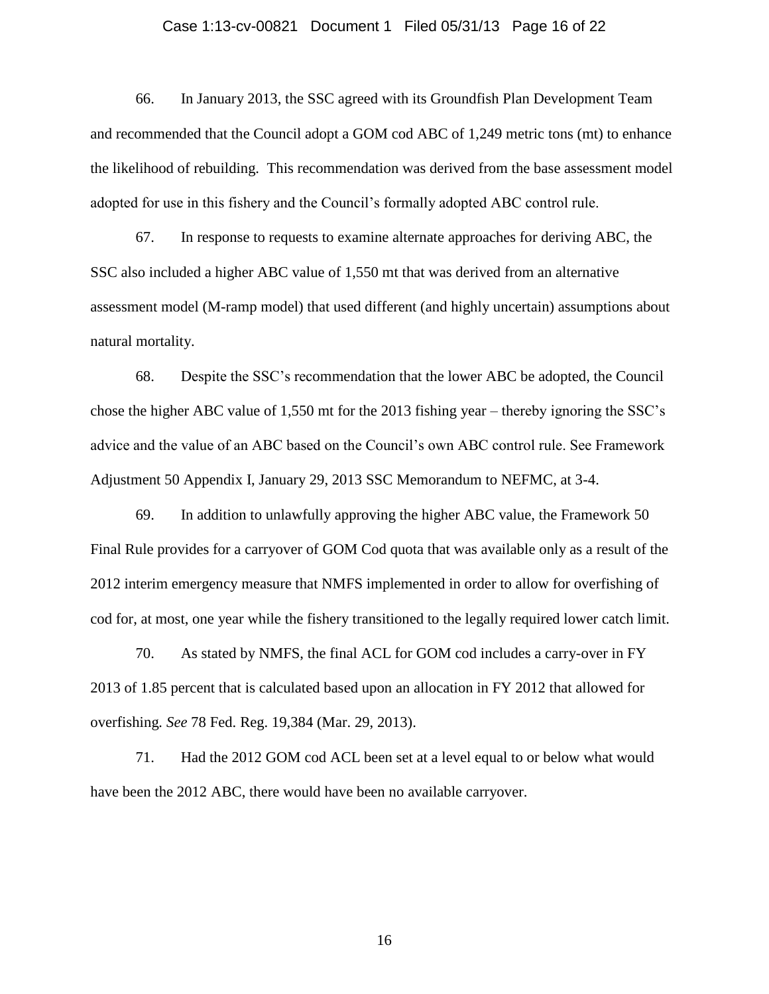#### Case 1:13-cv-00821 Document 1 Filed 05/31/13 Page 16 of 22

66. In January 2013, the SSC agreed with its Groundfish Plan Development Team and recommended that the Council adopt a GOM cod ABC of 1,249 metric tons (mt) to enhance the likelihood of rebuilding. This recommendation was derived from the base assessment model adopted for use in this fishery and the Council's formally adopted ABC control rule.

67. In response to requests to examine alternate approaches for deriving ABC, the SSC also included a higher ABC value of 1,550 mt that was derived from an alternative assessment model (M-ramp model) that used different (and highly uncertain) assumptions about natural mortality.

68. Despite the SSC's recommendation that the lower ABC be adopted, the Council chose the higher ABC value of 1,550 mt for the 2013 fishing year – thereby ignoring the SSC's advice and the value of an ABC based on the Council's own ABC control rule. See Framework Adjustment 50 Appendix I, January 29, 2013 SSC Memorandum to NEFMC, at 3-4.

69. In addition to unlawfully approving the higher ABC value, the Framework 50 Final Rule provides for a carryover of GOM Cod quota that was available only as a result of the 2012 interim emergency measure that NMFS implemented in order to allow for overfishing of cod for, at most, one year while the fishery transitioned to the legally required lower catch limit.

70. As stated by NMFS, the final ACL for GOM cod includes a carry-over in FY 2013 of 1.85 percent that is calculated based upon an allocation in FY 2012 that allowed for overfishing*. See* 78 Fed. Reg. 19,384 (Mar. 29, 2013).

71. Had the 2012 GOM cod ACL been set at a level equal to or below what would have been the 2012 ABC, there would have been no available carryover.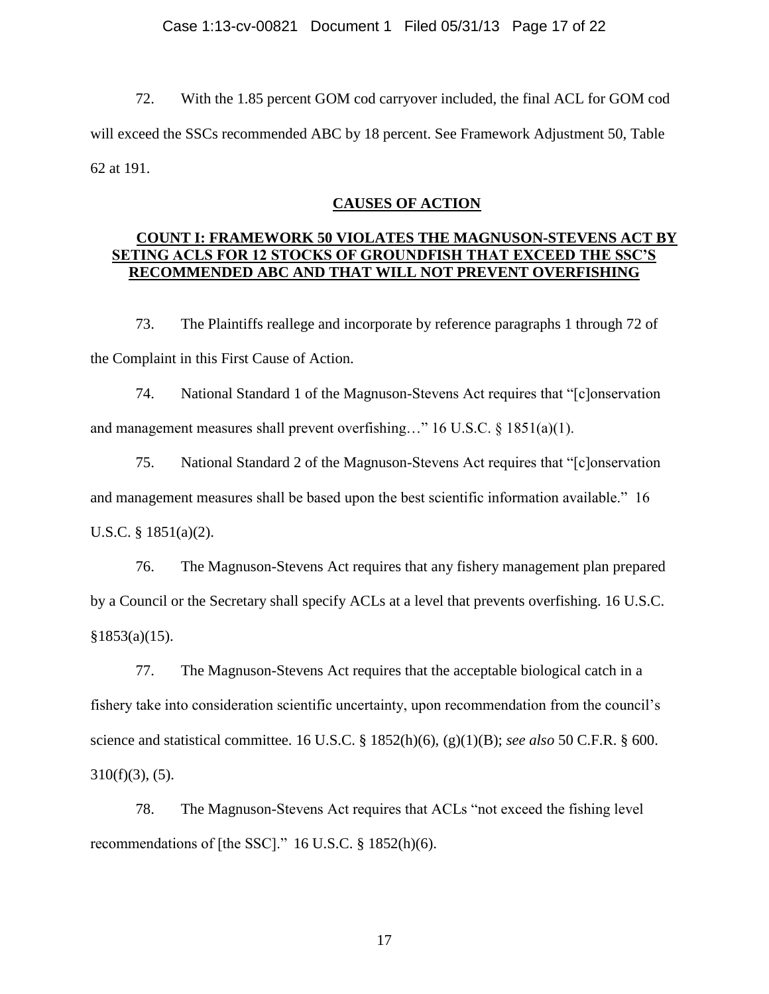#### Case 1:13-cv-00821 Document 1 Filed 05/31/13 Page 17 of 22

72. With the 1.85 percent GOM cod carryover included, the final ACL for GOM cod will exceed the SSCs recommended ABC by 18 percent. See Framework Adjustment 50, Table 62 at 191.

### **CAUSES OF ACTION**

## **COUNT I: FRAMEWORK 50 VIOLATES THE MAGNUSON-STEVENS ACT BY SETING ACLS FOR 12 STOCKS OF GROUNDFISH THAT EXCEED THE SSC'S RECOMMENDED ABC AND THAT WILL NOT PREVENT OVERFISHING**

73. The Plaintiffs reallege and incorporate by reference paragraphs 1 through 72 of the Complaint in this First Cause of Action.

74. National Standard 1 of the Magnuson-Stevens Act requires that "[c]onservation and management measures shall prevent overfishing…" 16 U.S.C. § 1851(a)(1).

75. National Standard 2 of the Magnuson-Stevens Act requires that "[c]onservation and management measures shall be based upon the best scientific information available." 16 U.S.C. § 1851(a)(2).

76. The Magnuson-Stevens Act requires that any fishery management plan prepared by a Council or the Secretary shall specify ACLs at a level that prevents overfishing. 16 U.S.C.  $§1853(a)(15).$ 

77. The Magnuson-Stevens Act requires that the acceptable biological catch in a fishery take into consideration scientific uncertainty, upon recommendation from the council's science and statistical committee. 16 U.S.C. § 1852(h)(6), (g)(1)(B); *see also* 50 C.F.R. § 600.  $310(f)(3)$ ,  $(5)$ .

78. The Magnuson-Stevens Act requires that ACLs "not exceed the fishing level recommendations of [the SSC]." 16 U.S.C. § 1852(h)(6).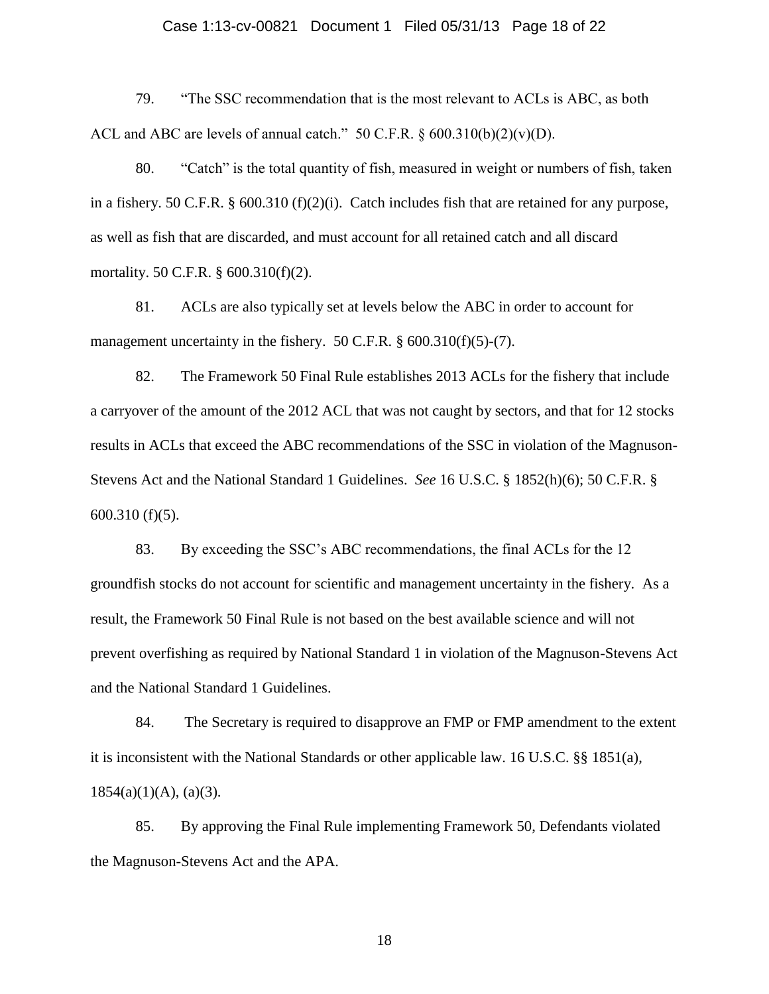#### Case 1:13-cv-00821 Document 1 Filed 05/31/13 Page 18 of 22

79. "The SSC recommendation that is the most relevant to ACLs is ABC, as both ACL and ABC are levels of annual catch."  $50$  C.F.R. §  $600.310(b)(2)(v)(D)$ .

80. "Catch" is the total quantity of fish, measured in weight or numbers of fish, taken in a fishery. 50 C.F.R.  $\S$  600.310 (f)(2)(i). Catch includes fish that are retained for any purpose, as well as fish that are discarded, and must account for all retained catch and all discard mortality. 50 C.F.R. § 600.310(f)(2).

81. ACLs are also typically set at levels below the ABC in order to account for management uncertainty in the fishery. 50 C.F.R. § 600.310(f)(5)-(7).

82. The Framework 50 Final Rule establishes 2013 ACLs for the fishery that include a carryover of the amount of the 2012 ACL that was not caught by sectors, and that for 12 stocks results in ACLs that exceed the ABC recommendations of the SSC in violation of the Magnuson-Stevens Act and the National Standard 1 Guidelines. *See* 16 U.S.C. § 1852(h)(6); 50 C.F.R. § 600.310 (f)(5).

83. By exceeding the SSC's ABC recommendations, the final ACLs for the 12 groundfish stocks do not account for scientific and management uncertainty in the fishery. As a result, the Framework 50 Final Rule is not based on the best available science and will not prevent overfishing as required by National Standard 1 in violation of the Magnuson-Stevens Act and the National Standard 1 Guidelines.

84. The Secretary is required to disapprove an FMP or FMP amendment to the extent it is inconsistent with the National Standards or other applicable law. 16 U.S.C. §§ 1851(a),  $1854(a)(1)(A), (a)(3).$ 

85. By approving the Final Rule implementing Framework 50, Defendants violated the Magnuson-Stevens Act and the APA.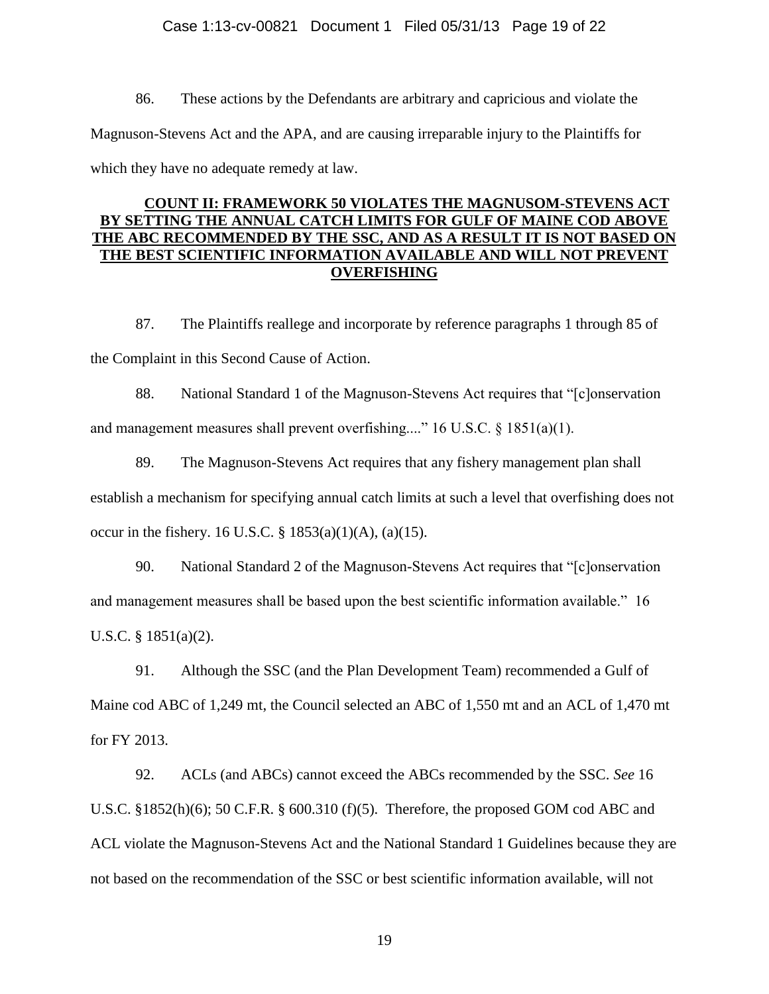### Case 1:13-cv-00821 Document 1 Filed 05/31/13 Page 19 of 22

86. These actions by the Defendants are arbitrary and capricious and violate the Magnuson-Stevens Act and the APA, and are causing irreparable injury to the Plaintiffs for which they have no adequate remedy at law.

## **COUNT II: FRAMEWORK 50 VIOLATES THE MAGNUSOM-STEVENS ACT BY SETTING THE ANNUAL CATCH LIMITS FOR GULF OF MAINE COD ABOVE THE ABC RECOMMENDED BY THE SSC, AND AS A RESULT IT IS NOT BASED ON THE BEST SCIENTIFIC INFORMATION AVAILABLE AND WILL NOT PREVENT OVERFISHING**

87. The Plaintiffs reallege and incorporate by reference paragraphs 1 through 85 of the Complaint in this Second Cause of Action.

88. National Standard 1 of the Magnuson-Stevens Act requires that "[c]onservation and management measures shall prevent overfishing...." 16 U.S.C. § 1851(a)(1).

89. The Magnuson-Stevens Act requires that any fishery management plan shall establish a mechanism for specifying annual catch limits at such a level that overfishing does not occur in the fishery. 16 U.S.C.  $\S$  1853(a)(1)(A), (a)(15).

90. National Standard 2 of the Magnuson-Stevens Act requires that "[c]onservation and management measures shall be based upon the best scientific information available." 16 U.S.C. § 1851(a)(2).

91. Although the SSC (and the Plan Development Team) recommended a Gulf of Maine cod ABC of 1,249 mt, the Council selected an ABC of 1,550 mt and an ACL of 1,470 mt for FY 2013.

92. ACLs (and ABCs) cannot exceed the ABCs recommended by the SSC. *See* 16 U.S.C. §1852(h)(6); 50 C.F.R. § 600.310 (f)(5). Therefore, the proposed GOM cod ABC and ACL violate the Magnuson-Stevens Act and the National Standard 1 Guidelines because they are not based on the recommendation of the SSC or best scientific information available, will not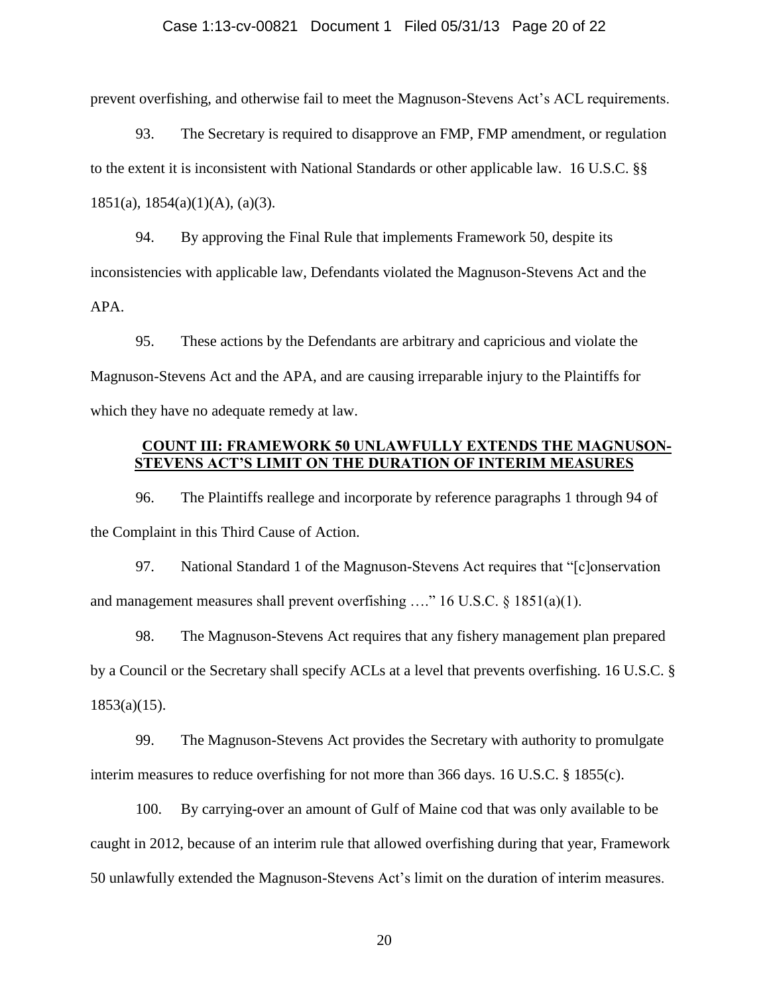#### Case 1:13-cv-00821 Document 1 Filed 05/31/13 Page 20 of 22

prevent overfishing, and otherwise fail to meet the Magnuson-Stevens Act's ACL requirements.

93. The Secretary is required to disapprove an FMP, FMP amendment, or regulation to the extent it is inconsistent with National Standards or other applicable law. 16 U.S.C. §§ 1851(a), 1854(a)(1)(A), (a)(3).

94. By approving the Final Rule that implements Framework 50, despite its inconsistencies with applicable law, Defendants violated the Magnuson-Stevens Act and the APA.

95. These actions by the Defendants are arbitrary and capricious and violate the Magnuson-Stevens Act and the APA, and are causing irreparable injury to the Plaintiffs for which they have no adequate remedy at law.

## **COUNT III: FRAMEWORK 50 UNLAWFULLY EXTENDS THE MAGNUSON-STEVENS ACT'S LIMIT ON THE DURATION OF INTERIM MEASURES**

96. The Plaintiffs reallege and incorporate by reference paragraphs 1 through 94 of the Complaint in this Third Cause of Action.

97. National Standard 1 of the Magnuson-Stevens Act requires that "[c]onservation and management measures shall prevent overfishing  $\ldots$ " 16 U.S.C. § 1851(a)(1).

98. The Magnuson-Stevens Act requires that any fishery management plan prepared by a Council or the Secretary shall specify ACLs at a level that prevents overfishing. 16 U.S.C. §  $1853(a)(15)$ .

99. The Magnuson-Stevens Act provides the Secretary with authority to promulgate interim measures to reduce overfishing for not more than 366 days. 16 U.S.C. § 1855(c).

100. By carrying-over an amount of Gulf of Maine cod that was only available to be caught in 2012, because of an interim rule that allowed overfishing during that year, Framework 50 unlawfully extended the Magnuson-Stevens Act's limit on the duration of interim measures.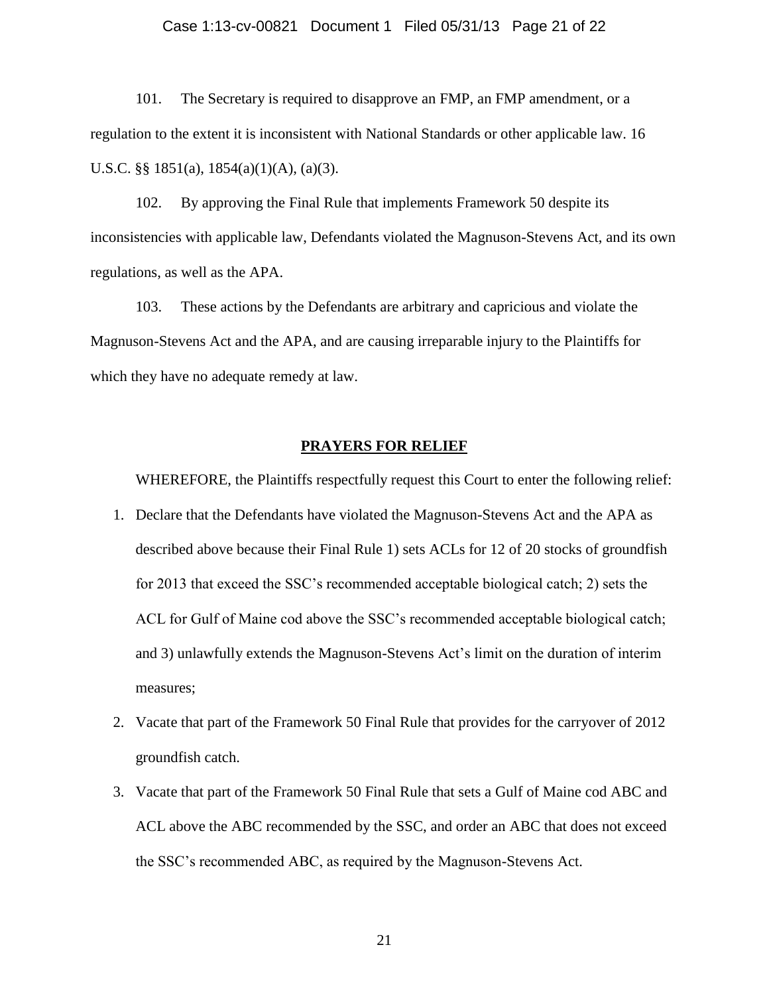#### Case 1:13-cv-00821 Document 1 Filed 05/31/13 Page 21 of 22

101. The Secretary is required to disapprove an FMP, an FMP amendment, or a regulation to the extent it is inconsistent with National Standards or other applicable law. 16 U.S.C. §§ 1851(a), 1854(a)(1)(A), (a)(3).

102. By approving the Final Rule that implements Framework 50 despite its inconsistencies with applicable law, Defendants violated the Magnuson-Stevens Act, and its own regulations, as well as the APA.

103. These actions by the Defendants are arbitrary and capricious and violate the Magnuson-Stevens Act and the APA, and are causing irreparable injury to the Plaintiffs for which they have no adequate remedy at law.

#### **PRAYERS FOR RELIEF**

WHEREFORE, the Plaintiffs respectfully request this Court to enter the following relief:

- 1. Declare that the Defendants have violated the Magnuson-Stevens Act and the APA as described above because their Final Rule 1) sets ACLs for 12 of 20 stocks of groundfish for 2013 that exceed the SSC's recommended acceptable biological catch; 2) sets the ACL for Gulf of Maine cod above the SSC's recommended acceptable biological catch; and 3) unlawfully extends the Magnuson-Stevens Act's limit on the duration of interim measures;
- 2. Vacate that part of the Framework 50 Final Rule that provides for the carryover of 2012 groundfish catch.
- 3. Vacate that part of the Framework 50 Final Rule that sets a Gulf of Maine cod ABC and ACL above the ABC recommended by the SSC, and order an ABC that does not exceed the SSC's recommended ABC, as required by the Magnuson-Stevens Act.